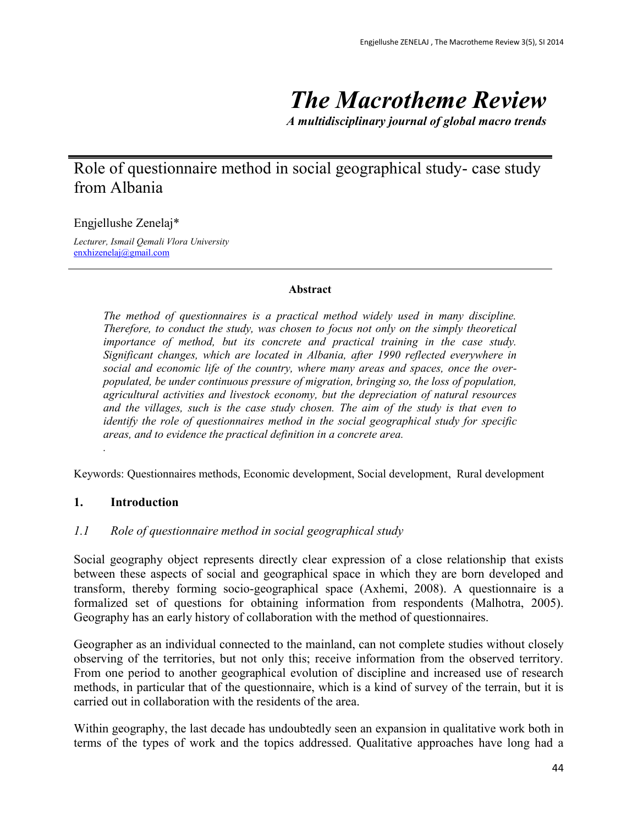# *The Macrotheme Review*

*A multidisciplinary journal of global macro trends*

# Role of questionnaire method in social geographical study- case study from Albania

Engjellushe Zenelaj\*

*Lecturer, Ismail Qemali Vlora University* [enxhizenelaj@gmail.com](mailto:enxhizenelaj@gmail.com)

#### **Abstract**

*The method of questionnaires is a practical method widely used in many discipline. Therefore, to conduct the study, was chosen to focus not only on the simply theoretical importance of method, but its concrete and practical training in the case study. Significant changes, which are located in Albania, after 1990 reflected everywhere in social and economic life of the country, where many areas and spaces, once the overpopulated, be under continuous pressure of migration, bringing so, the loss of population, agricultural activities and livestock economy, but the depreciation of natural resources and the villages, such is the case study chosen. The aim of the study is that even to identify the role of questionnaires method in the social geographical study for specific areas, and to evidence the practical definition in a concrete area.* 

Keywords: Questionnaires methods, Economic development, Social development, Rural development

#### **1. Introduction**

*.*

#### *1.1 Role of questionnaire method in social geographical study*

Social geography object represents directly clear expression of a close relationship that exists between these aspects of social and geographical space in which they are born developed and transform, thereby forming socio-geographical space (Axhemi, 2008). A questionnaire is a formalized set of questions for obtaining information from respondents (Malhotra, 2005). Geography has an early history of collaboration with the method of questionnaires.

Geographer as an individual connected to the mainland, can not complete studies without closely observing of the territories, but not only this; receive information from the observed territory. From one period to another geographical evolution of discipline and increased use of research methods, in particular that of the questionnaire, which is a kind of survey of the terrain, but it is carried out in collaboration with the residents of the area.

Within geography, the last decade has undoubtedly seen an expansion in qualitative work both in terms of the types of work and the topics addressed. Qualitative approaches have long had a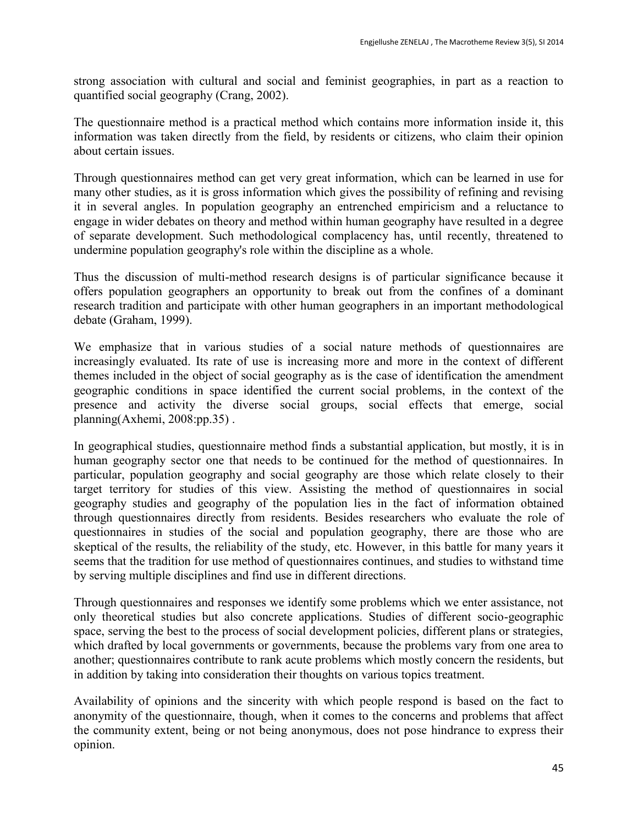strong association with cultural and social and feminist geographies, in part as a reaction to quantified social geography (Crang, 2002).

The questionnaire method is a practical method which contains more information inside it, this information was taken directly from the field, by residents or citizens, who claim their opinion about certain issues.

Through questionnaires method can get very great information, which can be learned in use for many other studies, as it is gross information which gives the possibility of refining and revising it in several angles. In population geography an entrenched empiricism and a reluctance to engage in wider debates on theory and method within human geography have resulted in a degree of separate development. Such methodological complacency has, until recently, threatened to undermine population geography's role within the discipline as a whole.

Thus the discussion of multi-method research designs is of particular significance because it offers population geographers an opportunity to break out from the confines of a dominant research tradition and participate with other human geographers in an important methodological debate (Graham, 1999).

We emphasize that in various studies of a social nature methods of questionnaires are increasingly evaluated. Its rate of use is increasing more and more in the context of different themes included in the object of social geography as is the case of identification the amendment geographic conditions in space identified the current social problems, in the context of the presence and activity the diverse social groups, social effects that emerge, social planning(Axhemi, 2008:pp.35) .

In geographical studies, questionnaire method finds a substantial application, but mostly, it is in human geography sector one that needs to be continued for the method of questionnaires. In particular, population geography and social geography are those which relate closely to their target territory for studies of this view. Assisting the method of questionnaires in social geography studies and geography of the population lies in the fact of information obtained through questionnaires directly from residents. Besides researchers who evaluate the role of questionnaires in studies of the social and population geography, there are those who are skeptical of the results, the reliability of the study, etc. However, in this battle for many years it seems that the tradition for use method of questionnaires continues, and studies to withstand time by serving multiple disciplines and find use in different directions.

Through questionnaires and responses we identify some problems which we enter assistance, not only theoretical studies but also concrete applications. Studies of different socio-geographic space, serving the best to the process of social development policies, different plans or strategies, which drafted by local governments or governments, because the problems vary from one area to another; questionnaires contribute to rank acute problems which mostly concern the residents, but in addition by taking into consideration their thoughts on various topics treatment.

Availability of opinions and the sincerity with which people respond is based on the fact to anonymity of the questionnaire, though, when it comes to the concerns and problems that affect the community extent, being or not being anonymous, does not pose hindrance to express their opinion.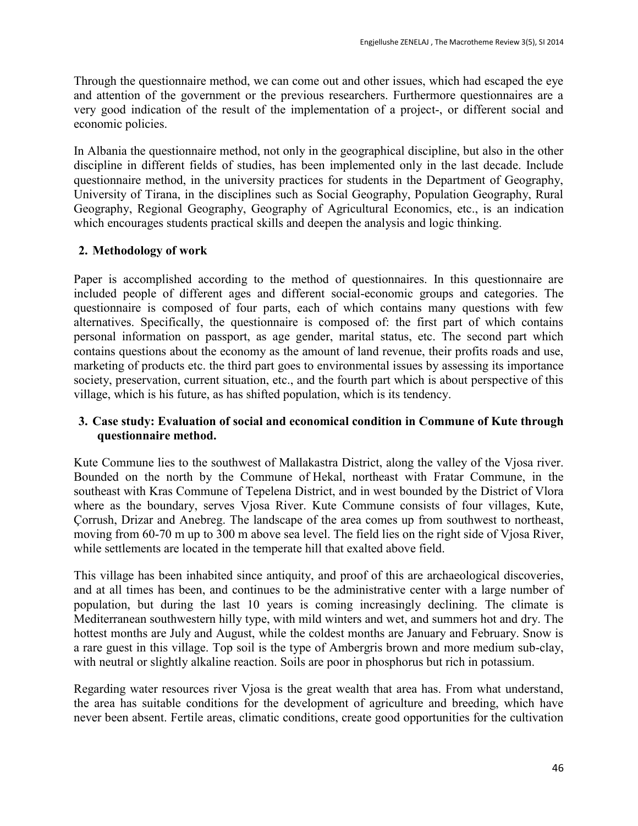Through the questionnaire method, we can come out and other issues, which had escaped the eye and attention of the government or the previous researchers. Furthermore questionnaires are a very good indication of the result of the implementation of a project-, or different social and economic policies.

In Albania the questionnaire method, not only in the geographical discipline, but also in the other discipline in different fields of studies, has been implemented only in the last decade. Include questionnaire method, in the university practices for students in the Department of Geography, University of Tirana, in the disciplines such as Social Geography, Population Geography, Rural Geography, Regional Geography, Geography of Agricultural Economics, etc., is an indication which encourages students practical skills and deepen the analysis and logic thinking.

# **2. Methodology of work**

Paper is accomplished according to the method of questionnaires. In this questionnaire are included people of different ages and different social-economic groups and categories. The questionnaire is composed of four parts, each of which contains many questions with few alternatives. Specifically, the questionnaire is composed of: the first part of which contains personal information on passport, as age gender, marital status, etc. The second part which contains questions about the economy as the amount of land revenue, their profits roads and use, marketing of products etc. the third part goes to environmental issues by assessing its importance society, preservation, current situation, etc., and the fourth part which is about perspective of this village, which is his future, as has shifted population, which is its tendency.

# **3. Case study: Evaluation of social and economical condition in Commune of Kute through questionnaire method.**

Kute Commune lies to the southwest of Mallakastra District, along the valley of the Vjosa river. Bounded on the north by the Commune of Hekal, northeast with Fratar Commune, in the southeast with Kras Commune of Tepelena District, and in west bounded by the District of Vlora where as the boundary, serves Vjosa River. Kute Commune consists of four villages, Kute, Çorrush, Drizar and Anebreg. The landscape of the area comes up from southwest to northeast, moving from 60-70 m up to 300 m above sea level. The field lies on the right side of Vjosa River, while settlements are located in the temperate hill that exalted above field.

This village has been inhabited since antiquity, and proof of this are archaeological discoveries, and at all times has been, and continues to be the administrative center with a large number of population, but during the last 10 years is coming increasingly declining. The climate is Mediterranean southwestern hilly type, with mild winters and wet, and summers hot and dry. The hottest months are July and August, while the coldest months are January and February. Snow is a rare guest in this village. Top soil is the type of Ambergris brown and more medium sub-clay, with neutral or slightly alkaline reaction. Soils are poor in phosphorus but rich in potassium.

Regarding water resources river Vjosa is the great wealth that area has. From what understand, the area has suitable conditions for the development of agriculture and breeding, which have never been absent. Fertile areas, climatic conditions, create good opportunities for the cultivation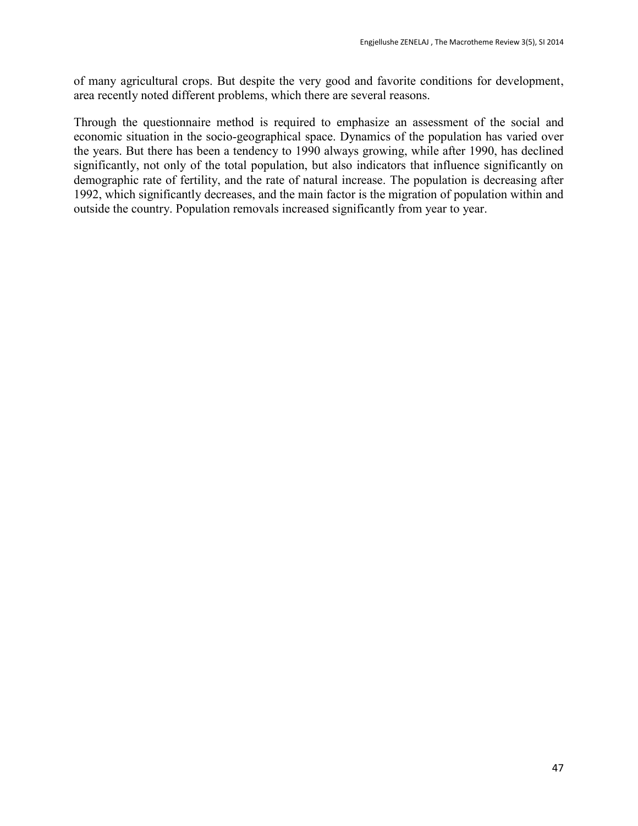of many agricultural crops. But despite the very good and favorite conditions for development, area recently noted different problems, which there are several reasons.

Through the questionnaire method is required to emphasize an assessment of the social and economic situation in the socio-geographical space. Dynamics of the population has varied over the years. But there has been a tendency to 1990 always growing, while after 1990, has declined significantly, not only of the total population, but also indicators that influence significantly on demographic rate of fertility, and the rate of natural increase. The population is decreasing after 1992, which significantly decreases, and the main factor is the migration of population within and outside the country. Population removals increased significantly from year to year.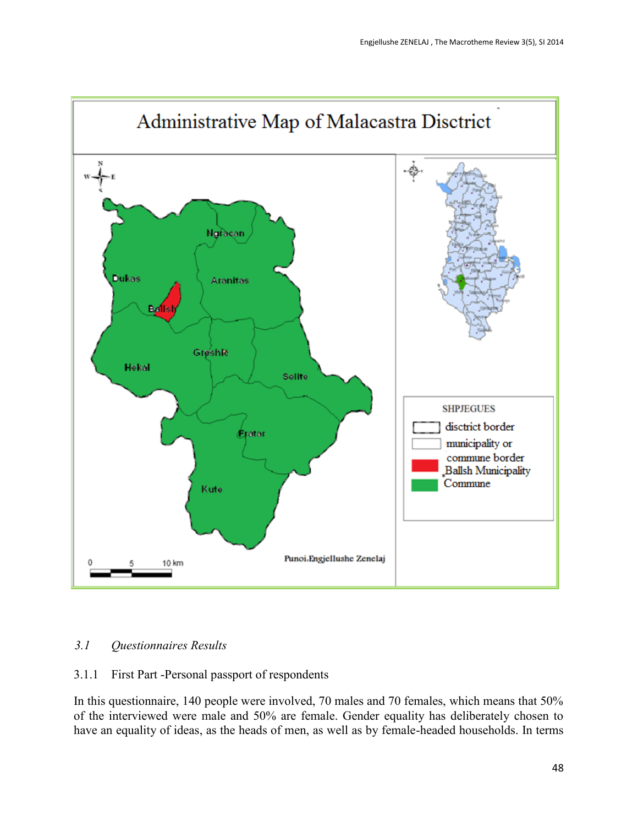

# *3.1 Questionnaires Results*

#### 3.1.1 First Part -Personal passport of respondents

In this questionnaire, 140 people were involved, 70 males and 70 females, which means that 50% of the interviewed were male and 50% are female. Gender equality has deliberately chosen to have an equality of ideas, as the heads of men, as well as by female-headed households. In terms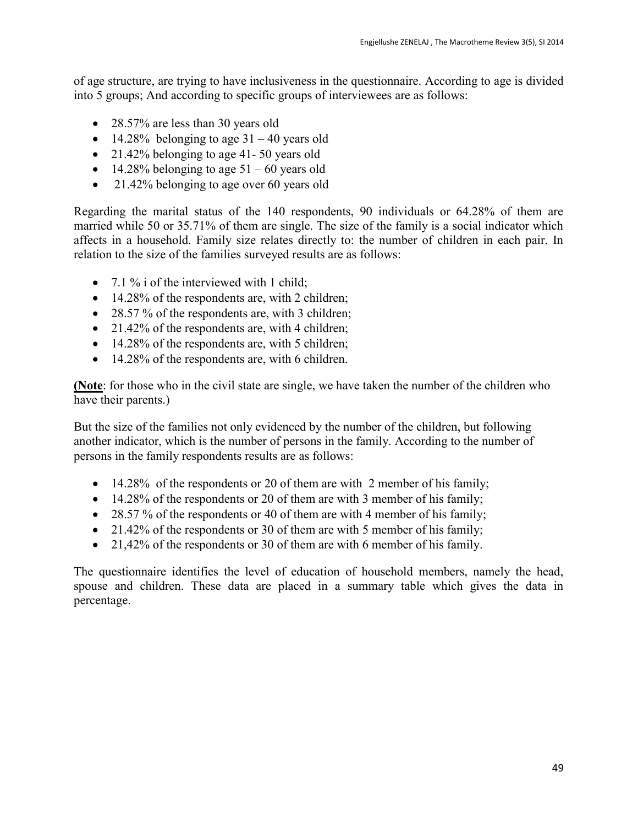of age structure, are trying to have inclusiveness in the questionnaire. According to age is divided into 5 groups; And according to specific groups of interviewees are as follows:

- 28.57% are less than 30 years old
- $\bullet$  14.28% belonging to age 31 40 years old
- 21.42% belonging to age 41-50 years old
- $\bullet$  14.28% belonging to age 51 60 years old
- 21.42% belonging to age over 60 years old

Regarding the marital status of the 140 respondents, 90 individuals or 64.28% of them are married while 50 or 35.71% of them are single. The size of the family is a social indicator which affects in a household. Family size relates directly to: the number of children in each pair. In relation to the size of the families surveyed results are as follows:

- 7.1 % i of the interviewed with 1 child;
- 14.28% of the respondents are, with 2 children;
- 28.57 % of the respondents are, with 3 children;
- 21.42% of the respondents are, with 4 children;
- 14.28% of the respondents are, with 5 children;
- 14.28% of the respondents are, with 6 children.

**(Note**: for those who in the civil state are single, we have taken the number of the children who have their parents.)

But the size of the families not only evidenced by the number of the children, but following another indicator, which is the number of persons in the family. According to the number of persons in the family respondents results are as follows:

- 14.28% of the respondents or 20 of them are with 2 member of his family;
- 14.28% of the respondents or 20 of them are with 3 member of his family;
- 28.57 % of the respondents or 40 of them are with 4 member of his family;
- 21.42% of the respondents or 30 of them are with 5 member of his family;
- 21,42% of the respondents or 30 of them are with 6 member of his family.

The questionnaire identifies the level of education of household members, namely the head, spouse and children. These data are placed in a summary table which gives the data in percentage.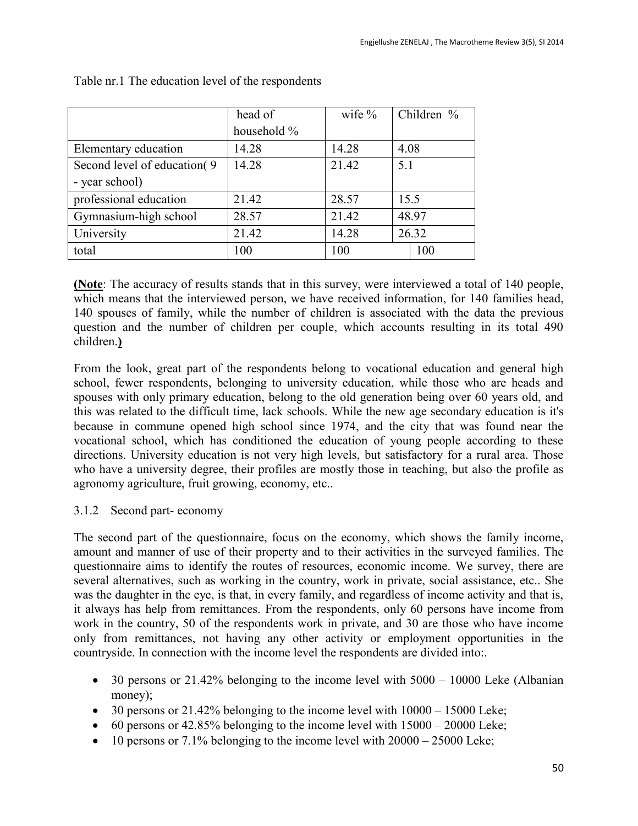|                               | head of     | wife $%$ | Children % |  |
|-------------------------------|-------------|----------|------------|--|
|                               | household % |          |            |  |
| Elementary education          | 14.28       | 14.28    | 4.08       |  |
| Second level of education (9) | 14.28       | 21.42    | 5.1        |  |
| - year school)                |             |          |            |  |
| professional education        | 21.42       | 28.57    | 15.5       |  |
| Gymnasium-high school         | 28.57       | 21.42    | 48.97      |  |
| University                    | 21.42       | 14.28    | 26.32      |  |
| total                         | 100         | 100      | 100        |  |
|                               |             |          |            |  |

Table nr.1 The education level of the respondents

**(Note**: The accuracy of results stands that in this survey, were interviewed a total of 140 people, which means that the interviewed person, we have received information, for 140 families head, 140 spouses of family, while the number of children is associated with the data the previous question and the number of children per couple, which accounts resulting in its total 490 children.**)** 

From the look, great part of the respondents belong to vocational education and general high school, fewer respondents, belonging to university education, while those who are heads and spouses with only primary education, belong to the old generation being over 60 years old, and this was related to the difficult time, lack schools. While the new age secondary education is it's because in commune opened high school since 1974, and the city that was found near the vocational school, which has conditioned the education of young people according to these directions. University education is not very high levels, but satisfactory for a rural area. Those who have a university degree, their profiles are mostly those in teaching, but also the profile as agronomy agriculture, fruit growing, economy, etc..

# 3.1.2 Second part- economy

The second part of the questionnaire, focus on the economy, which shows the family income, amount and manner of use of their property and to their activities in the surveyed families. The questionnaire aims to identify the routes of resources, economic income. We survey, there are several alternatives, such as working in the country, work in private, social assistance, etc.. She was the daughter in the eye, is that, in every family, and regardless of income activity and that is, it always has help from remittances. From the respondents, only 60 persons have income from work in the country, 50 of the respondents work in private, and 30 are those who have income only from remittances, not having any other activity or employment opportunities in the countryside. In connection with the income level the respondents are divided into:.

- $\bullet$  30 persons or 21.42% belonging to the income level with 5000 10000 Leke (Albanian money);
- $\bullet$  30 persons or 21.42% belonging to the income level with  $10000 15000$  Leke;
- $\bullet$  60 persons or 42.85% belonging to the income level with  $15000 20000$  Leke;
- $\bullet$  10 persons or 7.1% belonging to the income level with  $20000 25000$  Leke;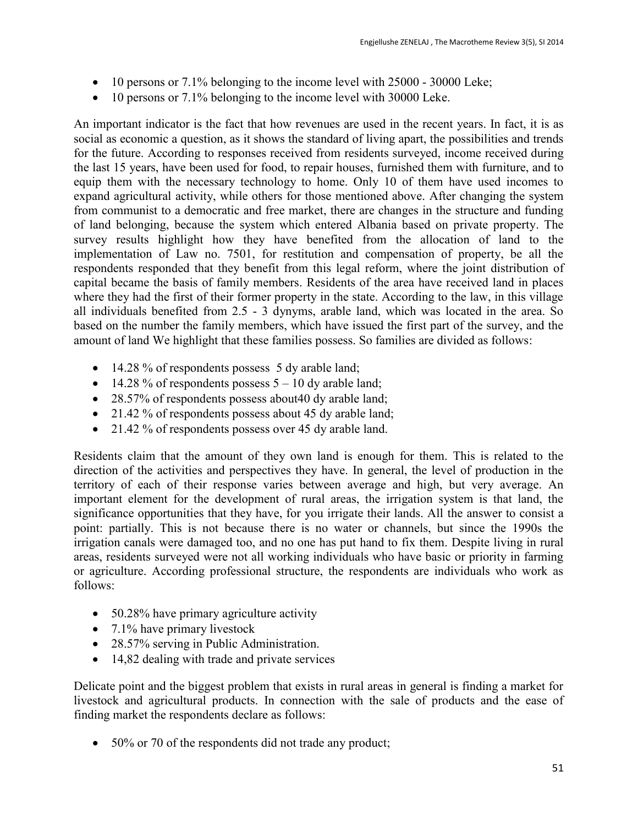- 10 persons or 7.1% belonging to the income level with 25000 30000 Leke;
- 10 persons or 7.1% belonging to the income level with 30000 Leke.

An important indicator is the fact that how revenues are used in the recent years. In fact, it is as social as economic a question, as it shows the standard of living apart, the possibilities and trends for the future. According to responses received from residents surveyed, income received during the last 15 years, have been used for food, to repair houses, furnished them with furniture, and to equip them with the necessary technology to home. Only 10 of them have used incomes to expand agricultural activity, while others for those mentioned above. After changing the system from communist to a democratic and free market, there are changes in the structure and funding of land belonging, because the system which entered Albania based on private property. The survey results highlight how they have benefited from the allocation of land to the implementation of Law no. 7501, for restitution and compensation of property, be all the respondents responded that they benefit from this legal reform, where the joint distribution of capital became the basis of family members. Residents of the area have received land in places where they had the first of their former property in the state. According to the law, in this village all individuals benefited from 2.5 - 3 dynyms, arable land, which was located in the area. So based on the number the family members, which have issued the first part of the survey, and the amount of land We highlight that these families possess. So families are divided as follows:

- 14.28 % of respondents possess 5 dy arable land;
- $\bullet$  14.28 % of respondents possess 5 10 dy arable land;
- 28.57% of respondents possess about 40 dy arable land;
- 21.42 % of respondents possess about 45 dy arable land;
- 21.42 % of respondents possess over 45 dy arable land.

Residents claim that the amount of they own land is enough for them. This is related to the direction of the activities and perspectives they have. In general, the level of production in the territory of each of their response varies between average and high, but very average. An important element for the development of rural areas, the irrigation system is that land, the significance opportunities that they have, for you irrigate their lands. All the answer to consist a point: partially. This is not because there is no water or channels, but since the 1990s the irrigation canals were damaged too, and no one has put hand to fix them. Despite living in rural areas, residents surveyed were not all working individuals who have basic or priority in farming or agriculture. According professional structure, the respondents are individuals who work as follows:

- 50.28% have primary agriculture activity
- $\bullet$  7.1% have primary livestock
- 28.57% serving in Public Administration.
- 14,82 dealing with trade and private services

Delicate point and the biggest problem that exists in rural areas in general is finding a market for livestock and agricultural products. In connection with the sale of products and the ease of finding market the respondents declare as follows:

• 50% or 70 of the respondents did not trade any product;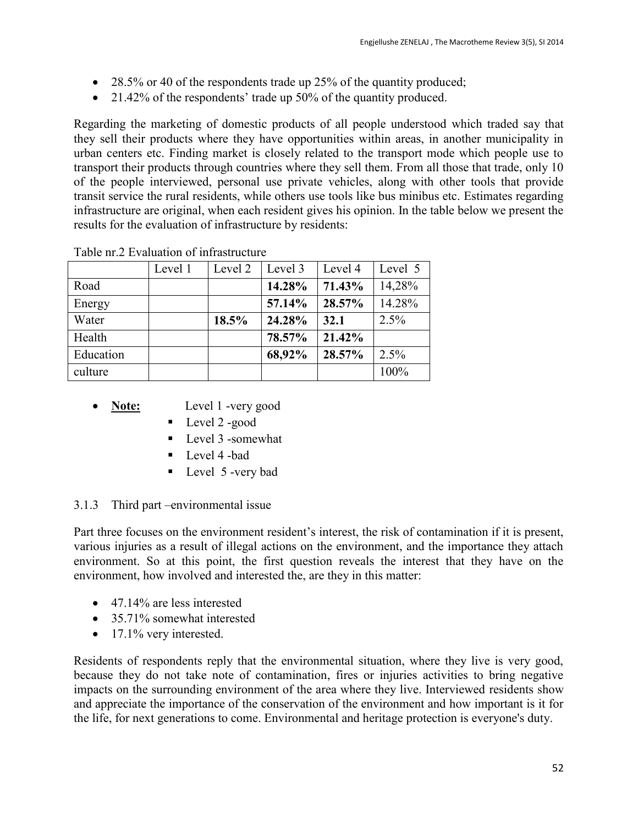- 28.5% or 40 of the respondents trade up 25% of the quantity produced;
- 21.42% of the respondents' trade up 50% of the quantity produced.

Regarding the marketing of domestic products of all people understood which traded say that they sell their products where they have opportunities within areas, in another municipality in urban centers etc. Finding market is closely related to the transport mode which people use to transport their products through countries where they sell them. From all those that trade, only 10 of the people interviewed, personal use private vehicles, along with other tools that provide transit service the rural residents, while others use tools like bus minibus etc. Estimates regarding infrastructure are original, when each resident gives his opinion. In the table below we present the results for the evaluation of infrastructure by residents:

|           | Level 1 | Level 2 | Level 3 | Level 4 | Level 5 |
|-----------|---------|---------|---------|---------|---------|
| Road      |         |         | 14.28%  | 71.43%  | 14,28%  |
| Energy    |         |         | 57.14%  | 28.57%  | 14.28%  |
| Water     |         | 18.5%   | 24.28%  | 32.1    | 2.5%    |
| Health    |         |         | 78.57%  | 21.42%  |         |
| Education |         |         | 68,92%  | 28.57%  | 2.5%    |
| culture   |         |         |         |         | 100%    |

Table nr.2 Evaluation of infrastructure

- Note: Level 1 -very good
	- Level 2 -good
	- Level 3 -somewhat
	- **Level 4 -bad**
	- Level 5 -very bad

# 3.1.3 Third part –environmental issue

Part three focuses on the environment resident's interest, the risk of contamination if it is present, various injuries as a result of illegal actions on the environment, and the importance they attach environment. So at this point, the first question reveals the interest that they have on the environment, how involved and interested the, are they in this matter:

- 47.14% are less interested
- 35.71% somewhat interested
- $\bullet$  17.1% very interested.

Residents of respondents reply that the environmental situation, where they live is very good, because they do not take note of contamination, fires or injuries activities to bring negative impacts on the surrounding environment of the area where they live. Interviewed residents show and appreciate the importance of the conservation of the environment and how important is it for the life, for next generations to come. Environmental and heritage protection is everyone's duty.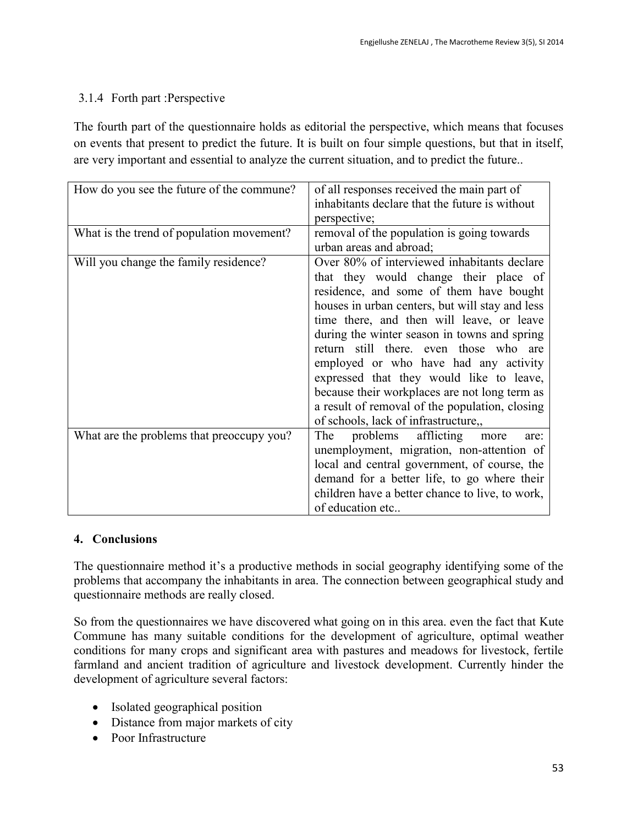# 3.1.4 Forth part :Perspective

The fourth part of the questionnaire holds as editorial the perspective, which means that focuses on events that present to predict the future. It is built on four simple questions, but that in itself, are very important and essential to analyze the current situation, and to predict the future..

| How do you see the future of the commune? | of all responses received the main part of      |
|-------------------------------------------|-------------------------------------------------|
|                                           | inhabitants declare that the future is without  |
|                                           | perspective;                                    |
| What is the trend of population movement? | removal of the population is going towards      |
|                                           | urban areas and abroad;                         |
| Will you change the family residence?     | Over 80% of interviewed inhabitants declare     |
|                                           | that they would change their place of           |
|                                           | residence, and some of them have bought         |
|                                           | houses in urban centers, but will stay and less |
|                                           | time there, and then will leave, or leave       |
|                                           | during the winter season in towns and spring    |
|                                           | return still there, even those who are          |
|                                           | employed or who have had any activity           |
|                                           | expressed that they would like to leave,        |
|                                           | because their workplaces are not long term as   |
|                                           | a result of removal of the population, closing  |
|                                           | of schools, lack of infrastructure,,            |
| What are the problems that preoccupy you? | afflicting<br>The<br>problems<br>more<br>are:   |
|                                           | unemployment, migration, non-attention of       |
|                                           | local and central government, of course, the    |
|                                           | demand for a better life, to go where their     |
|                                           | children have a better chance to live, to work, |
|                                           | of education etc                                |

# **4. Conclusions**

The questionnaire method it's a productive methods in social geography identifying some of the problems that accompany the inhabitants in area. The connection between geographical study and questionnaire methods are really closed.

So from the questionnaires we have discovered what going on in this area. even the fact that Kute Commune has many suitable conditions for the development of agriculture, optimal weather conditions for many crops and significant area with pastures and meadows for livestock, fertile farmland and ancient tradition of agriculture and livestock development. Currently hinder the development of agriculture several factors:

- Isolated geographical position
- Distance from major markets of city
- Poor Infrastructure